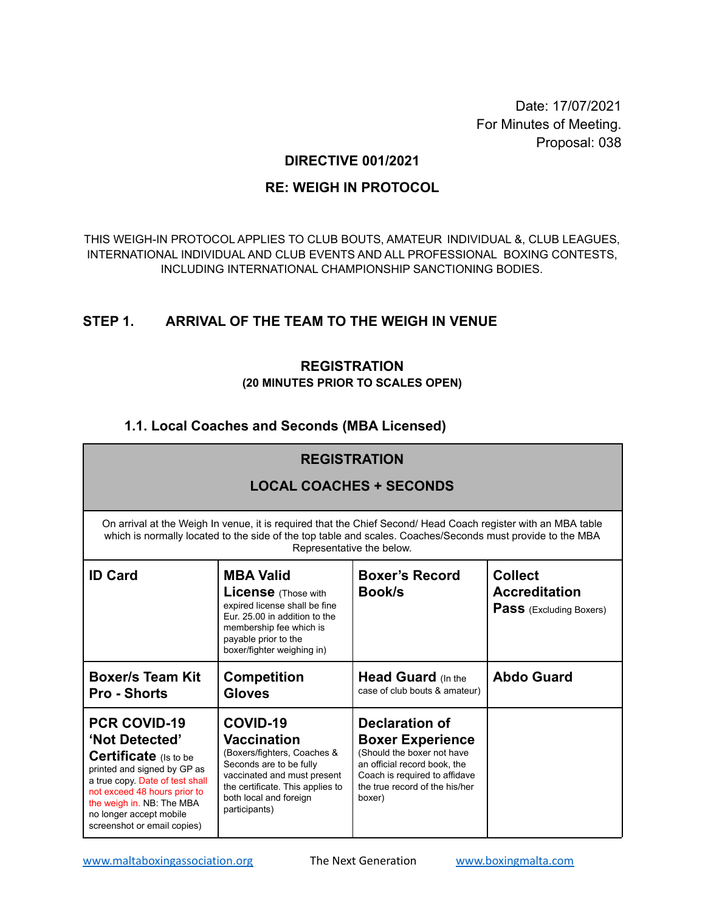Date: 17/07/2021 For Minutes of Meeting. Proposal: 038

### **DIRECTIVE 001/2021**

### **RE: WEIGH IN PROTOCOL**

THIS WEIGH-IN PROTOCOL APPLIES TO CLUB BOUTS, AMATEUR INDIVIDUAL &, CLUB LEAGUES, INTERNATIONAL INDIVIDUAL AND CLUB EVENTS AND ALL PROFESSIONAL BOXING CONTESTS, INCLUDING INTERNATIONAL CHAMPIONSHIP SANCTIONING BODIES.

# **STEP 1. ARRIVAL OF THE TEAM TO THE WEIGH IN VENUE**

### **REGISTRATION (20 MINUTES PRIOR TO SCALES OPEN)**

# **1.1. Local Coaches and Seconds (MBA Licensed)**

| <b>REGISTRATION</b>                                                                                                                                                                                                                                            |                                                                                                                                                                                                        |                                                                                                                                                                                             |                                                                          |
|----------------------------------------------------------------------------------------------------------------------------------------------------------------------------------------------------------------------------------------------------------------|--------------------------------------------------------------------------------------------------------------------------------------------------------------------------------------------------------|---------------------------------------------------------------------------------------------------------------------------------------------------------------------------------------------|--------------------------------------------------------------------------|
| <b>LOCAL COACHES + SECONDS</b>                                                                                                                                                                                                                                 |                                                                                                                                                                                                        |                                                                                                                                                                                             |                                                                          |
| On arrival at the Weigh In venue, it is required that the Chief Second/ Head Coach register with an MBA table<br>which is normally located to the side of the top table and scales. Coaches/Seconds must provide to the MBA<br>Representative the below.       |                                                                                                                                                                                                        |                                                                                                                                                                                             |                                                                          |
| <b>ID Card</b>                                                                                                                                                                                                                                                 | <b>MBA Valid</b><br><b>License</b> (Those with<br>expired license shall be fine<br>Eur. 25.00 in addition to the<br>membership fee which is<br>payable prior to the<br>boxer/fighter weighing in)      | <b>Boxer's Record</b><br><b>Book/s</b>                                                                                                                                                      | <b>Collect</b><br><b>Accreditation</b><br><b>Pass</b> (Excluding Boxers) |
| <b>Boxer/s Team Kit</b><br><b>Pro - Shorts</b>                                                                                                                                                                                                                 | <b>Competition</b><br><b>Gloves</b>                                                                                                                                                                    | <b>Head Guard</b> (In the<br>case of club bouts & amateur)                                                                                                                                  | <b>Abdo Guard</b>                                                        |
| <b>PCR COVID-19</b><br>'Not Detected'<br><b>Certificate</b> (Is to be<br>printed and signed by GP as<br>a true copy. Date of test shall<br>not exceed 48 hours prior to<br>the weigh in. NB: The MBA<br>no longer accept mobile<br>screenshot or email copies) | COVID-19<br><b>Vaccination</b><br>(Boxers/fighters, Coaches &<br>Seconds are to be fully<br>vaccinated and must present<br>the certificate. This applies to<br>both local and foreign<br>participants) | <b>Declaration of</b><br><b>Boxer Experience</b><br>(Should the boxer not have<br>an official record book, the<br>Coach is required to affidave<br>the true record of the his/her<br>boxer) |                                                                          |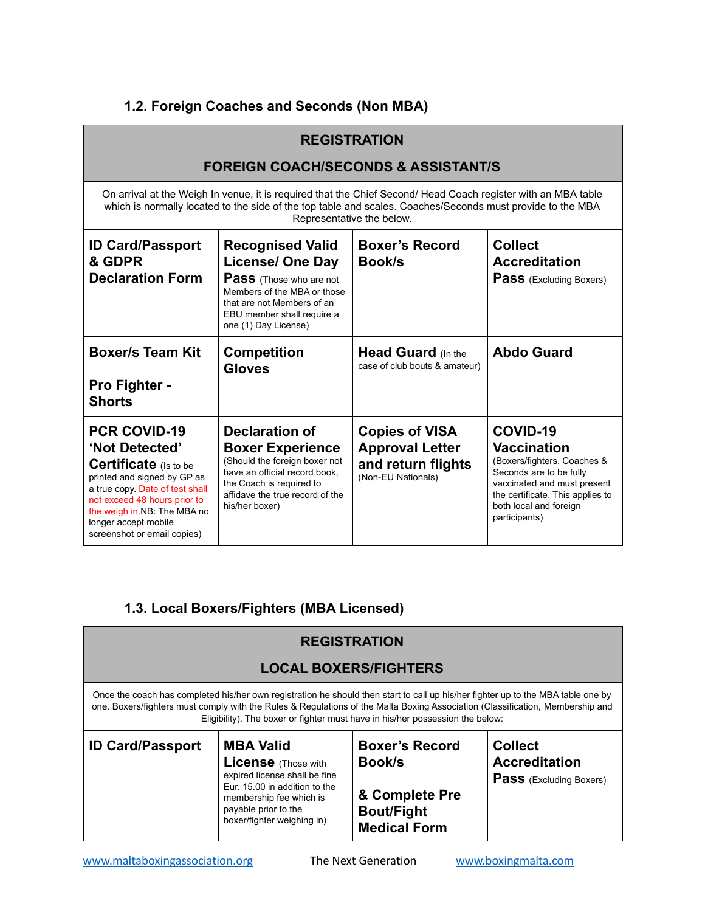# **1.2. Foreign Coaches and Seconds (Non MBA)**

| <b>REGISTRATION</b>                                                                                                                                                                                                                                      |                                                                                                                                                                                                         |                                                                                             |                                                                                                                                                                                                        |
|----------------------------------------------------------------------------------------------------------------------------------------------------------------------------------------------------------------------------------------------------------|---------------------------------------------------------------------------------------------------------------------------------------------------------------------------------------------------------|---------------------------------------------------------------------------------------------|--------------------------------------------------------------------------------------------------------------------------------------------------------------------------------------------------------|
| <b>FOREIGN COACH/SECONDS &amp; ASSISTANT/S</b>                                                                                                                                                                                                           |                                                                                                                                                                                                         |                                                                                             |                                                                                                                                                                                                        |
| On arrival at the Weigh In venue, it is required that the Chief Second/ Head Coach register with an MBA table<br>which is normally located to the side of the top table and scales. Coaches/Seconds must provide to the MBA<br>Representative the below. |                                                                                                                                                                                                         |                                                                                             |                                                                                                                                                                                                        |
| <b>ID Card/Passport</b><br>& GDPR<br><b>Declaration Form</b>                                                                                                                                                                                             | <b>Recognised Valid</b><br><b>License/ One Day</b><br><b>Pass</b> (Those who are not<br>Members of the MBA or those<br>that are not Members of an<br>EBU member shall require a<br>one (1) Day License) | <b>Boxer's Record</b><br><b>Book</b> /s                                                     | <b>Collect</b><br><b>Accreditation</b><br><b>Pass</b> (Excluding Boxers)                                                                                                                               |
| <b>Boxer/s Team Kit</b><br><b>Pro Fighter -</b><br><b>Shorts</b>                                                                                                                                                                                         | <b>Competition</b><br><b>Gloves</b>                                                                                                                                                                     | <b>Head Guard (In the</b><br>case of club bouts & amateur)                                  | <b>Abdo Guard</b>                                                                                                                                                                                      |
| <b>PCR COVID-19</b><br>'Not Detected'<br>Certificate (Is to be<br>printed and signed by GP as<br>a true copy. Date of test shall<br>not exceed 48 hours prior to<br>the weigh in.NB: The MBA no<br>longer accept mobile<br>screenshot or email copies)   | <b>Declaration of</b><br><b>Boxer Experience</b><br>(Should the foreign boxer not<br>have an official record book,<br>the Coach is required to<br>affidave the true record of the<br>his/her boxer)     | <b>Copies of VISA</b><br><b>Approval Letter</b><br>and return flights<br>(Non-EU Nationals) | COVID-19<br><b>Vaccination</b><br>(Boxers/fighters, Coaches &<br>Seconds are to be fully<br>vaccinated and must present<br>the certificate. This applies to<br>both local and foreign<br>participants) |

# **1.3. Local Boxers/Fighters (MBA Licensed)**

| <b>REGISTRATION</b>                                                                                                                                                                                                                                                                                                                                |                                                                                                                                                                                                   |                                                                                               |                                                                          |
|----------------------------------------------------------------------------------------------------------------------------------------------------------------------------------------------------------------------------------------------------------------------------------------------------------------------------------------------------|---------------------------------------------------------------------------------------------------------------------------------------------------------------------------------------------------|-----------------------------------------------------------------------------------------------|--------------------------------------------------------------------------|
| <b>LOCAL BOXERS/FIGHTERS</b>                                                                                                                                                                                                                                                                                                                       |                                                                                                                                                                                                   |                                                                                               |                                                                          |
| Once the coach has completed his/her own registration he should then start to call up his/her fighter up to the MBA table one by<br>one. Boxers/fighters must comply with the Rules & Regulations of the Malta Boxing Association (Classification, Membership and<br>Eligibility). The boxer or fighter must have in his/her possession the below: |                                                                                                                                                                                                   |                                                                                               |                                                                          |
| <b>ID Card/Passport</b>                                                                                                                                                                                                                                                                                                                            | <b>MBA Valid</b><br><b>License</b> (Those with<br>expired license shall be fine<br>Eur. 15.00 in addition to the<br>membership fee which is<br>payable prior to the<br>boxer/fighter weighing in) | <b>Boxer's Record</b><br>Book/s<br>& Complete Pre<br><b>Bout/Fight</b><br><b>Medical Form</b> | <b>Collect</b><br><b>Accreditation</b><br><b>Pass</b> (Excluding Boxers) |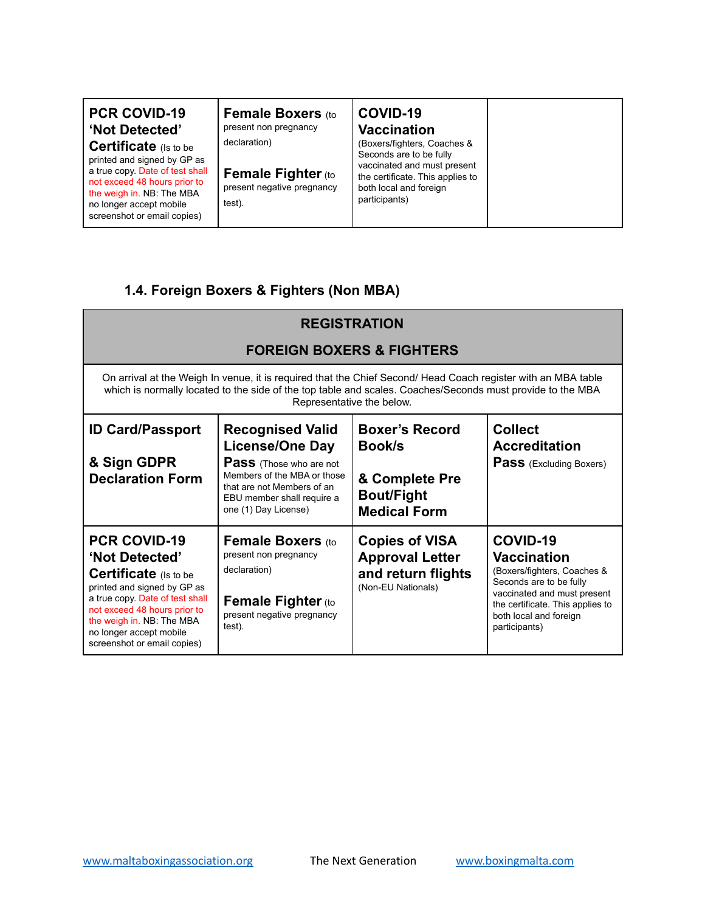| <b>PCR COVID-19</b>          |
|------------------------------|
| 'Not Detected'               |
| <b>Certificate</b> (Is to be |

printed and signed by GP as a true copy. Date of test shall not exceed 48 hours prior to the weigh in. NB: The MBA no longer accept mobile screenshot or email copies)

**Female Boxers** (to present non pregnancy declaration)

**Female Fighter** (to present negative pregnancy test).

#### **COVID-19 Vaccination**

(Boxers/fighters, Coaches & Seconds are to be fully vaccinated and must present the certificate. This applies to both local and foreign participants)

# **1.4. Foreign Boxers & Fighters (Non MBA)**

| <b>REGISTRATION</b>                                                                                                                                                                                                                                      |                                                                                                                                                                                                        |                                                                                                      |                                                                                                                                                                                                        |
|----------------------------------------------------------------------------------------------------------------------------------------------------------------------------------------------------------------------------------------------------------|--------------------------------------------------------------------------------------------------------------------------------------------------------------------------------------------------------|------------------------------------------------------------------------------------------------------|--------------------------------------------------------------------------------------------------------------------------------------------------------------------------------------------------------|
| <b>FOREIGN BOXERS &amp; FIGHTERS</b>                                                                                                                                                                                                                     |                                                                                                                                                                                                        |                                                                                                      |                                                                                                                                                                                                        |
| On arrival at the Weigh In venue, it is required that the Chief Second/ Head Coach register with an MBA table<br>which is normally located to the side of the top table and scales. Coaches/Seconds must provide to the MBA<br>Representative the below. |                                                                                                                                                                                                        |                                                                                                      |                                                                                                                                                                                                        |
| <b>ID Card/Passport</b><br>& Sign GDPR<br><b>Declaration Form</b>                                                                                                                                                                                        | <b>Recognised Valid</b><br><b>License/One Day</b><br><b>Pass</b> (Those who are not<br>Members of the MBA or those<br>that are not Members of an<br>EBU member shall require a<br>one (1) Day License) | <b>Boxer's Record</b><br><b>Book/s</b><br>& Complete Pre<br><b>Bout/Fight</b><br><b>Medical Form</b> | <b>Collect</b><br><b>Accreditation</b><br><b>Pass</b> (Excluding Boxers)                                                                                                                               |
| <b>PCR COVID-19</b><br>'Not Detected'<br>Certificate (Is to be<br>printed and signed by GP as<br>a true copy Date of test shall<br>not exceed 48 hours prior to<br>the weigh in. NB: The MBA<br>no longer accept mobile<br>screenshot or email copies)   | <b>Female Boxers (to</b><br>present non pregnancy<br>declaration)<br><b>Female Fighter (to</b><br>present negative pregnancy<br>test).                                                                 | <b>Copies of VISA</b><br><b>Approval Letter</b><br>and return flights<br>(Non-EU Nationals)          | COVID-19<br><b>Vaccination</b><br>(Boxers/fighters, Coaches &<br>Seconds are to be fully<br>vaccinated and must present<br>the certificate. This applies to<br>both local and foreign<br>participants) |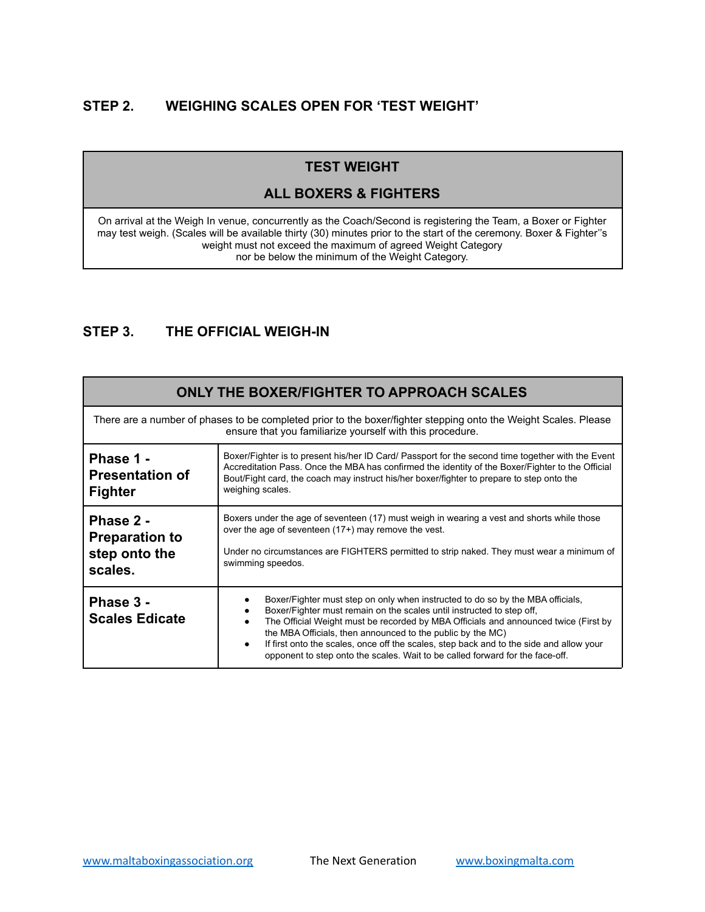# **STEP 2. WEIGHING SCALES OPEN FOR 'TEST WEIGHT'**

# **TEST WEIGHT**

### **ALL BOXERS & FIGHTERS**

On arrival at the Weigh In venue, concurrently as the Coach/Second is registering the Team, a Boxer or Fighter may test weigh. (Scales will be available thirty (30) minutes prior to the start of the ceremony. Boxer & Fighter''s weight must not exceed the maximum of agreed Weight Category nor be below the minimum of the Weight Category.

# **STEP 3. THE OFFICIAL WEIGH-IN**

| ONLY THE BOXER/FIGHTER TO APPROACH SCALES                                                                                                                                    |                                                                                                                                                                                                                                                                                                                                                                                                                                                                                          |  |
|------------------------------------------------------------------------------------------------------------------------------------------------------------------------------|------------------------------------------------------------------------------------------------------------------------------------------------------------------------------------------------------------------------------------------------------------------------------------------------------------------------------------------------------------------------------------------------------------------------------------------------------------------------------------------|--|
| There are a number of phases to be completed prior to the boxer/fighter stepping onto the Weight Scales. Please<br>ensure that you familiarize yourself with this procedure. |                                                                                                                                                                                                                                                                                                                                                                                                                                                                                          |  |
| Phase 1 -<br><b>Presentation of</b><br><b>Fighter</b>                                                                                                                        | Boxer/Fighter is to present his/her ID Card/ Passport for the second time together with the Event<br>Accreditation Pass. Once the MBA has confirmed the identity of the Boxer/Fighter to the Official<br>Bout/Fight card, the coach may instruct his/her boxer/fighter to prepare to step onto the<br>weighing scales.                                                                                                                                                                   |  |
| Phase 2 -<br><b>Preparation to</b><br>step onto the<br>scales.                                                                                                               | Boxers under the age of seventeen (17) must weigh in wearing a vest and shorts while those<br>over the age of seventeen (17+) may remove the vest.<br>Under no circumstances are FIGHTERS permitted to strip naked. They must wear a minimum of<br>swimming speedos.                                                                                                                                                                                                                     |  |
| Phase 3 -<br><b>Scales Edicate</b>                                                                                                                                           | Boxer/Fighter must step on only when instructed to do so by the MBA officials,<br>Boxer/Fighter must remain on the scales until instructed to step off,<br>The Official Weight must be recorded by MBA Officials and announced twice (First by<br>the MBA Officials, then announced to the public by the MC)<br>If first onto the scales, once off the scales, step back and to the side and allow your<br>opponent to step onto the scales. Wait to be called forward for the face-off. |  |